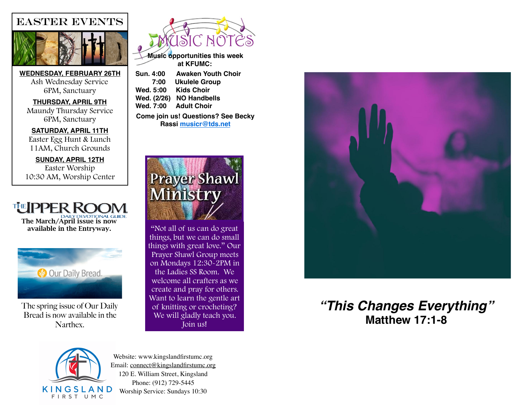# EASTER EVENTS



**WEDNESDAY, FEBRUARY 26TH** Ash Wednesday Service 6PM, Sanctuary

**THURSDAY, APRIL 9TH** Maundy Thursday Service 6PM, Sanctuary

**SATURDAY, APRIL 11TH** Easter Egg Hunt & Lunch 11AM, Church Grounds

**SUNDAY, APRIL 12TH** Easter Worship 10:30 AM, Worship Center





The spring issue of Our Daily Bread is now available in the Narthex.



**Music opportunities this week at KFUMC:** 

**Sun. 4:00 Awaken Youth Choir 7:00 Ukulele Group Wed. 5:00 Kids Choir Wed. (2/26) NO Handbells Wed. 7:00 Adult Choir**

**Come join us! Questions? See Becky Rassi [musicr@tds.net](mailto:musicr@tds.net)**



"Not all of us can do great things, but we can do small things with great love." Our Prayer Shawl Group meets on Mondays 12:30-2PM in the Ladies SS Room. We welcome all crafters as we create and pray for others. Want to learn the gentle art of knitting or crocheting? We will gladly teach you. Join us!



## *"This Changes Everything"* **Matthew 17:1-8**



Website: [www.kingslandfirstumc.org](http://www.kingslandfirstumc.org)  Email: [connect@kingslandfirstumc.org](mailto:connect@kingslandfirstumc.org) 120 E. William Street, Kingsland Phone: (912) 729-5445 Worship Service: Sundays 10:30